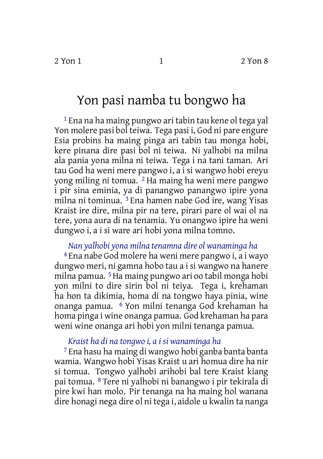## Yon pasi namba tu bongwo ha

1 Ena na ha maing pungwo ari tabin tau kene ol tega yal Yon molere pasi bol teiwa. Tega pasi i, God ni pare engure Esia probins ha maing pinga ari tabin tau monga hobi, kere pinana dire pasi bol ni teiwa. Ni yalhobi na milna ala pania yona milna ni teiwa. Tega i na tani taman. Ari tau God ha weni mere pangwo i, a i si wangwo hobi ereyu yong miling ni tomua. 2 Ha maing ha weni mere pangwo i pir sina eminia, ya di panangwo panangwo ipire yona milna ni tominua. 3 Ena hamen nabe God ire, wang Yisas Kraist ire dire, milna pir na tere, pirari pare ol wai ol na tere, yona aura di na tenamia. Yu onangwo ipire ha weni dungwo i, a i si ware ari hobi yona milna tomno.

## *Nan yalhobi yona milna tenamna dire ol wanaminga ha*

4 Ena nabe God molere ha weni mere pangwo i, a i wayo dungwo meri, ni gamna hobo tau a i si wangwo na hanere milna pamua. 5Ha maing pungwo ari oo tabil monga hobi yon milni to dire sirin bol ni teiya. Tega i, krehaman ha hon ta dikimia, homa di na tongwo haya pinia, wine onanga pamua. 6 Yon milni tenanga God krehaman ha homa pinga i wine onanga pamua. God krehaman ha para weni wine onanga ari hobi yon milni tenanga pamua.

## *Kraist ha di na tongwo i, a i si wanaminga ha*

7 Ena hasu ha maing di wangwo hobi ganba banta banta wamia. Wangwo hobi Yisas Kraist u ari homua dire ha nir si tomua. Tongwo yalhobi arihobi bal tere Kraist kiang pai tomua. 8 Tere ni yalhobi ni banangwo i pir tekirala di pire kwi han molo. Pir tenanga na ha maing hol wanana dire honagi nega dire ol ni tega i, aidole u kwalin ta nanga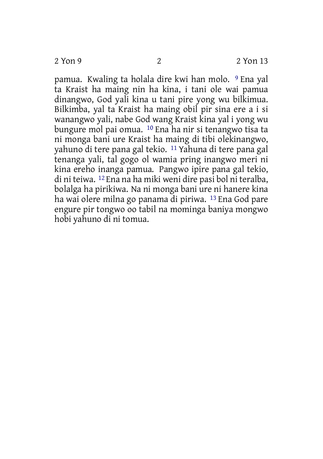pamua. Kwaling ta holala dire kwi han molo. 9 Ena yal ta Kraist ha maing nin ha kina, i tani ole wai pamua dinangwo, God yali kina u tani pire yong wu bilkimua. Bilkimba, yal ta Kraist ha maing obil pir sina ere a i si wanangwo yali, nabe God wang Kraist kina yal i yong wu bungure mol pai omua. 10 Ena ha nir si tenangwo tisa ta ni monga bani ure Kraist ha maing di tibi olekinangwo, yahuno di tere pana gal tekio. 11 Yahuna di tere pana gal tenanga yali, tal gogo ol wamia pring inangwo meri ni kina ereho inanga pamua. Pangwo ipire pana gal tekio, di ni teiwa. 12 Ena na ha miki weni dire pasi bol ni teralba, bolalga ha pirikiwa. Na ni monga bani ure ni hanere kina ha wai olere milna go panama di piriwa. 13 Ena God pare engure pir tongwo oo tabil na mominga baniya mongwo hobi yahuno di ni tomua.